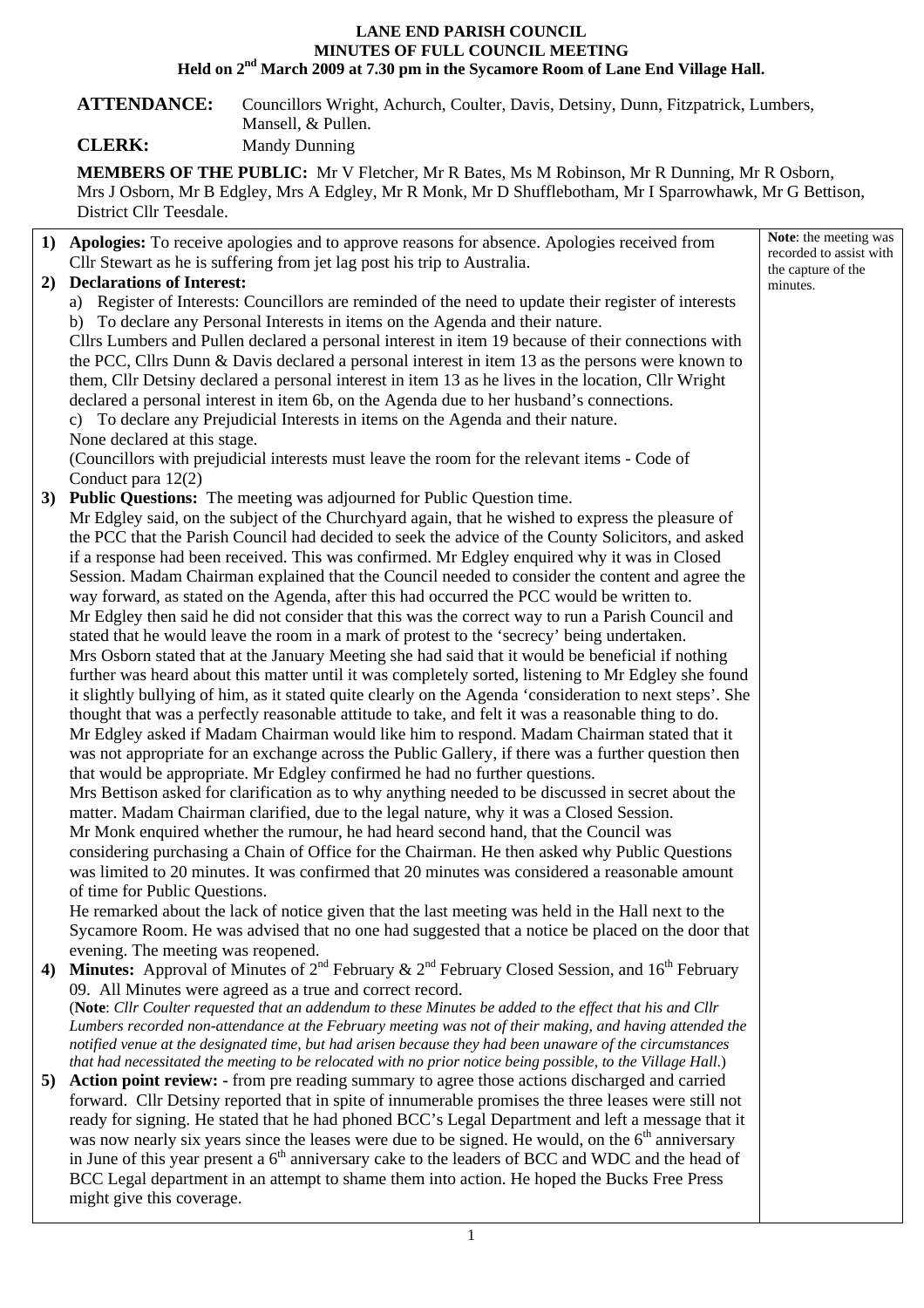## **LANE END PARISH COUNCIL MINUTES OF FULL COUNCIL MEETING Held on 2nd March 2009 at 7.30 pm in the Sycamore Room of Lane End Village Hall.**

**ATTENDANCE:** Councillors Wright, Achurch, Coulter, Davis, Detsiny, Dunn, Fitzpatrick, Lumbers, Mansell, & Pullen.

**CLERK:** Mandy Dunning

**MEMBERS OF THE PUBLIC:** Mr V Fletcher, Mr R Bates, Ms M Robinson, Mr R Dunning, Mr R Osborn, Mrs J Osborn, Mr B Edgley, Mrs A Edgley, Mr R Monk, Mr D Shufflebotham, Mr I Sparrowhawk, Mr G Bettison, District Cllr Teesdale.

|    | 1) Apologies: To receive apologies and to approve reasons for absence. Apologies received from<br>Cllr Stewart as he is suffering from jet lag post his trip to Australia. | Note: the meeting was<br>recorded to assist with |
|----|----------------------------------------------------------------------------------------------------------------------------------------------------------------------------|--------------------------------------------------|
|    | 2) Declarations of Interest:                                                                                                                                               | the capture of the                               |
|    | a) Register of Interests: Councillors are reminded of the need to update their register of interests                                                                       | minutes.                                         |
|    | b) To declare any Personal Interests in items on the Agenda and their nature.                                                                                              |                                                  |
|    | Cllrs Lumbers and Pullen declared a personal interest in item 19 because of their connections with                                                                         |                                                  |
|    | the PCC, Cllrs Dunn & Davis declared a personal interest in item 13 as the persons were known to                                                                           |                                                  |
|    | them, Cllr Detsiny declared a personal interest in item 13 as he lives in the location, Cllr Wright                                                                        |                                                  |
|    | declared a personal interest in item 6b, on the Agenda due to her husband's connections.                                                                                   |                                                  |
|    | c) To declare any Prejudicial Interests in items on the Agenda and their nature.                                                                                           |                                                  |
|    | None declared at this stage.                                                                                                                                               |                                                  |
|    | (Councillors with prejudicial interests must leave the room for the relevant items - Code of                                                                               |                                                  |
|    | Conduct para $12(2)$                                                                                                                                                       |                                                  |
|    | 3) Public Questions: The meeting was adjourned for Public Question time.                                                                                                   |                                                  |
|    | Mr Edgley said, on the subject of the Churchyard again, that he wished to express the pleasure of                                                                          |                                                  |
|    | the PCC that the Parish Council had decided to seek the advice of the County Solicitors, and asked                                                                         |                                                  |
|    | if a response had been received. This was confirmed. Mr Edgley enquired why it was in Closed                                                                               |                                                  |
|    | Session. Madam Chairman explained that the Council needed to consider the content and agree the                                                                            |                                                  |
|    | way forward, as stated on the Agenda, after this had occurred the PCC would be written to.                                                                                 |                                                  |
|    | Mr Edgley then said he did not consider that this was the correct way to run a Parish Council and                                                                          |                                                  |
|    | stated that he would leave the room in a mark of protest to the 'secrecy' being undertaken.                                                                                |                                                  |
|    | Mrs Osborn stated that at the January Meeting she had said that it would be beneficial if nothing                                                                          |                                                  |
|    | further was heard about this matter until it was completely sorted, listening to Mr Edgley she found                                                                       |                                                  |
|    | it slightly bullying of him, as it stated quite clearly on the Agenda 'consideration to next steps'. She                                                                   |                                                  |
|    | thought that was a perfectly reasonable attitude to take, and felt it was a reasonable thing to do.                                                                        |                                                  |
|    | Mr Edgley asked if Madam Chairman would like him to respond. Madam Chairman stated that it                                                                                 |                                                  |
|    | was not appropriate for an exchange across the Public Gallery, if there was a further question then                                                                        |                                                  |
|    | that would be appropriate. Mr Edgley confirmed he had no further questions.                                                                                                |                                                  |
|    | Mrs Bettison asked for clarification as to why anything needed to be discussed in secret about the                                                                         |                                                  |
|    | matter. Madam Chairman clarified, due to the legal nature, why it was a Closed Session.                                                                                    |                                                  |
|    | Mr Monk enquired whether the rumour, he had heard second hand, that the Council was                                                                                        |                                                  |
|    | considering purchasing a Chain of Office for the Chairman. He then asked why Public Questions                                                                              |                                                  |
|    | was limited to 20 minutes. It was confirmed that 20 minutes was considered a reasonable amount                                                                             |                                                  |
|    | of time for Public Questions.                                                                                                                                              |                                                  |
|    | He remarked about the lack of notice given that the last meeting was held in the Hall next to the                                                                          |                                                  |
|    | Sycamore Room. He was advised that no one had suggested that a notice be placed on the door that<br>evening. The meeting was reopened.                                     |                                                  |
| 4) | <b>Minutes:</b> Approval of Minutes of $2^{nd}$ February & $2^{nd}$ February Closed Session, and 16 <sup>th</sup> February                                                 |                                                  |
|    | 09. All Minutes were agreed as a true and correct record.                                                                                                                  |                                                  |
|    | (Note: Cllr Coulter requested that an addendum to these Minutes be added to the effect that his and Cllr                                                                   |                                                  |
|    | Lumbers recorded non-attendance at the February meeting was not of their making, and having attended the                                                                   |                                                  |
|    | notified venue at the designated time, but had arisen because they had been unaware of the circumstances                                                                   |                                                  |
|    | that had necessitated the meeting to be relocated with no prior notice being possible, to the Village Hall.)                                                               |                                                  |
| 5) | <b>Action point review:</b> - from pre reading summary to agree those actions discharged and carried                                                                       |                                                  |
|    | forward. Cllr Detsiny reported that in spite of innumerable promises the three leases were still not                                                                       |                                                  |
|    | ready for signing. He stated that he had phoned BCC's Legal Department and left a message that it                                                                          |                                                  |
|    | was now nearly six years since the leases were due to be signed. He would, on the 6 <sup>th</sup> anniversary                                                              |                                                  |
|    | in June of this year present a $6th$ anniversary cake to the leaders of BCC and WDC and the head of                                                                        |                                                  |
|    | BCC Legal department in an attempt to shame them into action. He hoped the Bucks Free Press                                                                                |                                                  |
|    | might give this coverage.                                                                                                                                                  |                                                  |
|    |                                                                                                                                                                            |                                                  |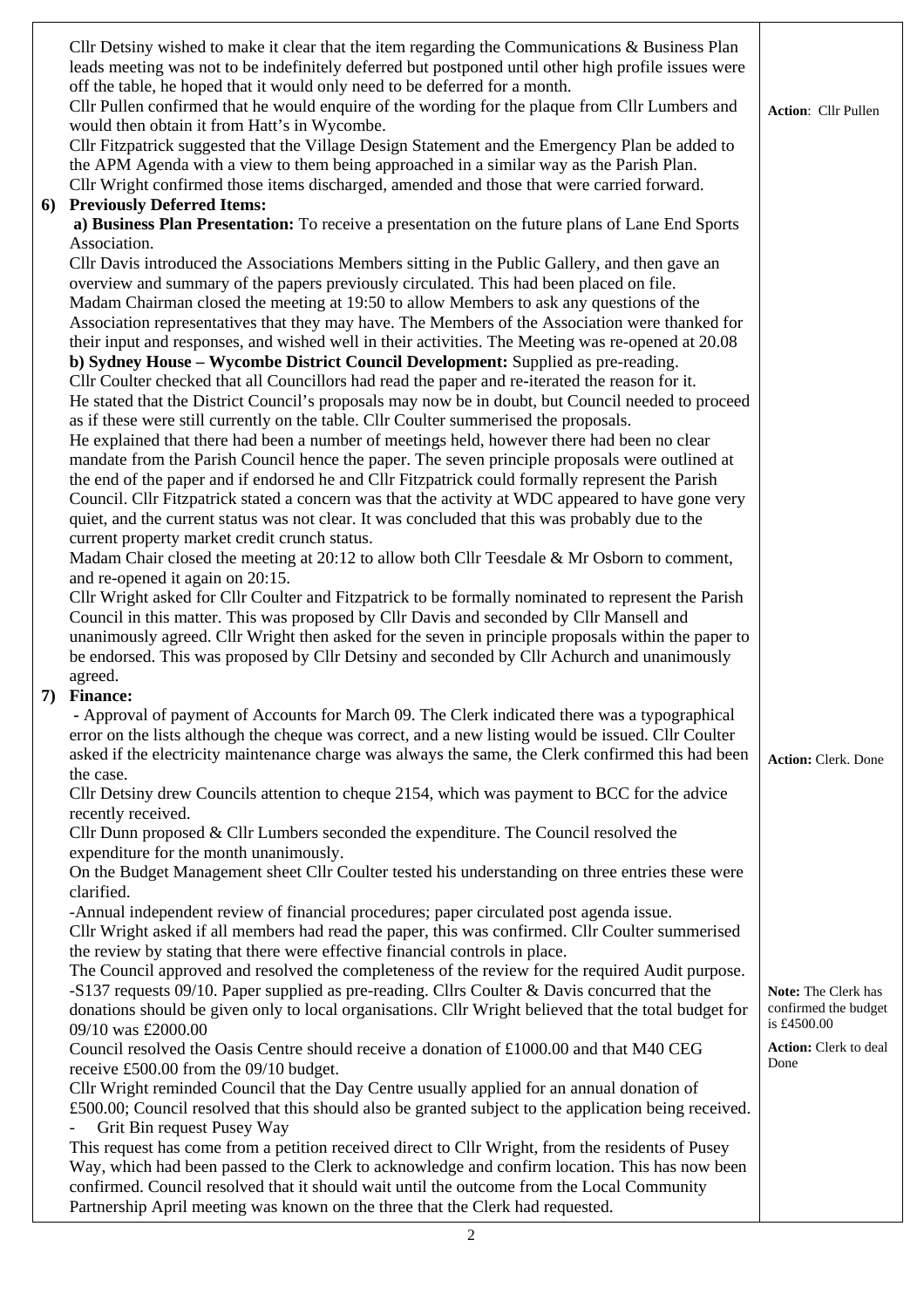| Cllr Detsiny wished to make it clear that the item regarding the Communications $\&$ Business Plan<br>leads meeting was not to be indefinitely deferred but postponed until other high profile issues were<br>off the table, he hoped that it would only need to be deferred for a month.<br>Cllr Pullen confirmed that he would enquire of the wording for the plaque from Cllr Lumbers and<br>would then obtain it from Hatt's in Wycombe.<br>Cllr Fitzpatrick suggested that the Village Design Statement and the Emergency Plan be added to<br>the APM Agenda with a view to them being approached in a similar way as the Parish Plan.<br>Cllr Wright confirmed those items discharged, amended and those that were carried forward.<br>6) Previously Deferred Items:<br>a) Business Plan Presentation: To receive a presentation on the future plans of Lane End Sports | <b>Action: Cllr Pullen</b>           |
|-------------------------------------------------------------------------------------------------------------------------------------------------------------------------------------------------------------------------------------------------------------------------------------------------------------------------------------------------------------------------------------------------------------------------------------------------------------------------------------------------------------------------------------------------------------------------------------------------------------------------------------------------------------------------------------------------------------------------------------------------------------------------------------------------------------------------------------------------------------------------------|--------------------------------------|
| Association.                                                                                                                                                                                                                                                                                                                                                                                                                                                                                                                                                                                                                                                                                                                                                                                                                                                                  |                                      |
| Cllr Davis introduced the Associations Members sitting in the Public Gallery, and then gave an<br>overview and summary of the papers previously circulated. This had been placed on file.<br>Madam Chairman closed the meeting at 19:50 to allow Members to ask any questions of the<br>Association representatives that they may have. The Members of the Association were thanked for<br>their input and responses, and wished well in their activities. The Meeting was re-opened at 20.08<br>b) Sydney House – Wycombe District Council Development: Supplied as pre-reading.<br>Cllr Coulter checked that all Councillors had read the paper and re-iterated the reason for it.<br>He stated that the District Council's proposals may now be in doubt, but Council needed to proceed                                                                                    |                                      |
| as if these were still currently on the table. Cllr Coulter summerised the proposals.                                                                                                                                                                                                                                                                                                                                                                                                                                                                                                                                                                                                                                                                                                                                                                                         |                                      |
| He explained that there had been a number of meetings held, however there had been no clear<br>mandate from the Parish Council hence the paper. The seven principle proposals were outlined at<br>the end of the paper and if endorsed he and Cllr Fitzpatrick could formally represent the Parish<br>Council. Cllr Fitzpatrick stated a concern was that the activity at WDC appeared to have gone very<br>quiet, and the current status was not clear. It was concluded that this was probably due to the                                                                                                                                                                                                                                                                                                                                                                   |                                      |
| current property market credit crunch status.                                                                                                                                                                                                                                                                                                                                                                                                                                                                                                                                                                                                                                                                                                                                                                                                                                 |                                      |
| Madam Chair closed the meeting at 20:12 to allow both Cllr Teesdale & Mr Osborn to comment,<br>and re-opened it again on 20:15.<br>Cllr Wright asked for Cllr Coulter and Fitzpatrick to be formally nominated to represent the Parish                                                                                                                                                                                                                                                                                                                                                                                                                                                                                                                                                                                                                                        |                                      |
| Council in this matter. This was proposed by Cllr Davis and seconded by Cllr Mansell and                                                                                                                                                                                                                                                                                                                                                                                                                                                                                                                                                                                                                                                                                                                                                                                      |                                      |
| unanimously agreed. Cllr Wright then asked for the seven in principle proposals within the paper to<br>be endorsed. This was proposed by Cllr Detsiny and seconded by Cllr Achurch and unanimously                                                                                                                                                                                                                                                                                                                                                                                                                                                                                                                                                                                                                                                                            |                                      |
| agreed.<br>7) Finance:                                                                                                                                                                                                                                                                                                                                                                                                                                                                                                                                                                                                                                                                                                                                                                                                                                                        |                                      |
| - Approval of payment of Accounts for March 09. The Clerk indicated there was a typographical                                                                                                                                                                                                                                                                                                                                                                                                                                                                                                                                                                                                                                                                                                                                                                                 |                                      |
| error on the lists although the cheque was correct, and a new listing would be issued. Cllr Coulter<br>asked if the electricity maintenance charge was always the same, the Clerk confirmed this had been<br>the case.                                                                                                                                                                                                                                                                                                                                                                                                                                                                                                                                                                                                                                                        | <b>Action: Clerk. Done</b>           |
| Cllr Detsiny drew Councils attention to cheque 2154, which was payment to BCC for the advice                                                                                                                                                                                                                                                                                                                                                                                                                                                                                                                                                                                                                                                                                                                                                                                  |                                      |
| recently received.<br>Cllr Dunn proposed $&$ Cllr Lumbers seconded the expenditure. The Council resolved the                                                                                                                                                                                                                                                                                                                                                                                                                                                                                                                                                                                                                                                                                                                                                                  |                                      |
| expenditure for the month unanimously.                                                                                                                                                                                                                                                                                                                                                                                                                                                                                                                                                                                                                                                                                                                                                                                                                                        |                                      |
| On the Budget Management sheet Cllr Coulter tested his understanding on three entries these were<br>clarified.<br>-Annual independent review of financial procedures; paper circulated post agenda issue.                                                                                                                                                                                                                                                                                                                                                                                                                                                                                                                                                                                                                                                                     |                                      |
| Cllr Wright asked if all members had read the paper, this was confirmed. Cllr Coulter summerised                                                                                                                                                                                                                                                                                                                                                                                                                                                                                                                                                                                                                                                                                                                                                                              |                                      |
| the review by stating that there were effective financial controls in place.<br>The Council approved and resolved the completeness of the review for the required Audit purpose.                                                                                                                                                                                                                                                                                                                                                                                                                                                                                                                                                                                                                                                                                              |                                      |
| -S137 requests 09/10. Paper supplied as pre-reading. Cllrs Coulter & Davis concurred that the                                                                                                                                                                                                                                                                                                                                                                                                                                                                                                                                                                                                                                                                                                                                                                                 | Note: The Clerk has                  |
| donations should be given only to local organisations. Cllr Wright believed that the total budget for<br>09/10 was £2000.00                                                                                                                                                                                                                                                                                                                                                                                                                                                                                                                                                                                                                                                                                                                                                   | confirmed the budget<br>is £4500.00  |
| Council resolved the Oasis Centre should receive a donation of $£1000.00$ and that M40 CEG<br>receive £500.00 from the 09/10 budget.                                                                                                                                                                                                                                                                                                                                                                                                                                                                                                                                                                                                                                                                                                                                          | <b>Action:</b> Clerk to deal<br>Done |
| Cllr Wright reminded Council that the Day Centre usually applied for an annual donation of<br>£500.00; Council resolved that this should also be granted subject to the application being received.<br>Grit Bin request Pusey Way                                                                                                                                                                                                                                                                                                                                                                                                                                                                                                                                                                                                                                             |                                      |
| This request has come from a petition received direct to Cllr Wright, from the residents of Pusey                                                                                                                                                                                                                                                                                                                                                                                                                                                                                                                                                                                                                                                                                                                                                                             |                                      |
| Way, which had been passed to the Clerk to acknowledge and confirm location. This has now been<br>confirmed. Council resolved that it should wait until the outcome from the Local Community                                                                                                                                                                                                                                                                                                                                                                                                                                                                                                                                                                                                                                                                                  |                                      |
| Partnership April meeting was known on the three that the Clerk had requested.                                                                                                                                                                                                                                                                                                                                                                                                                                                                                                                                                                                                                                                                                                                                                                                                |                                      |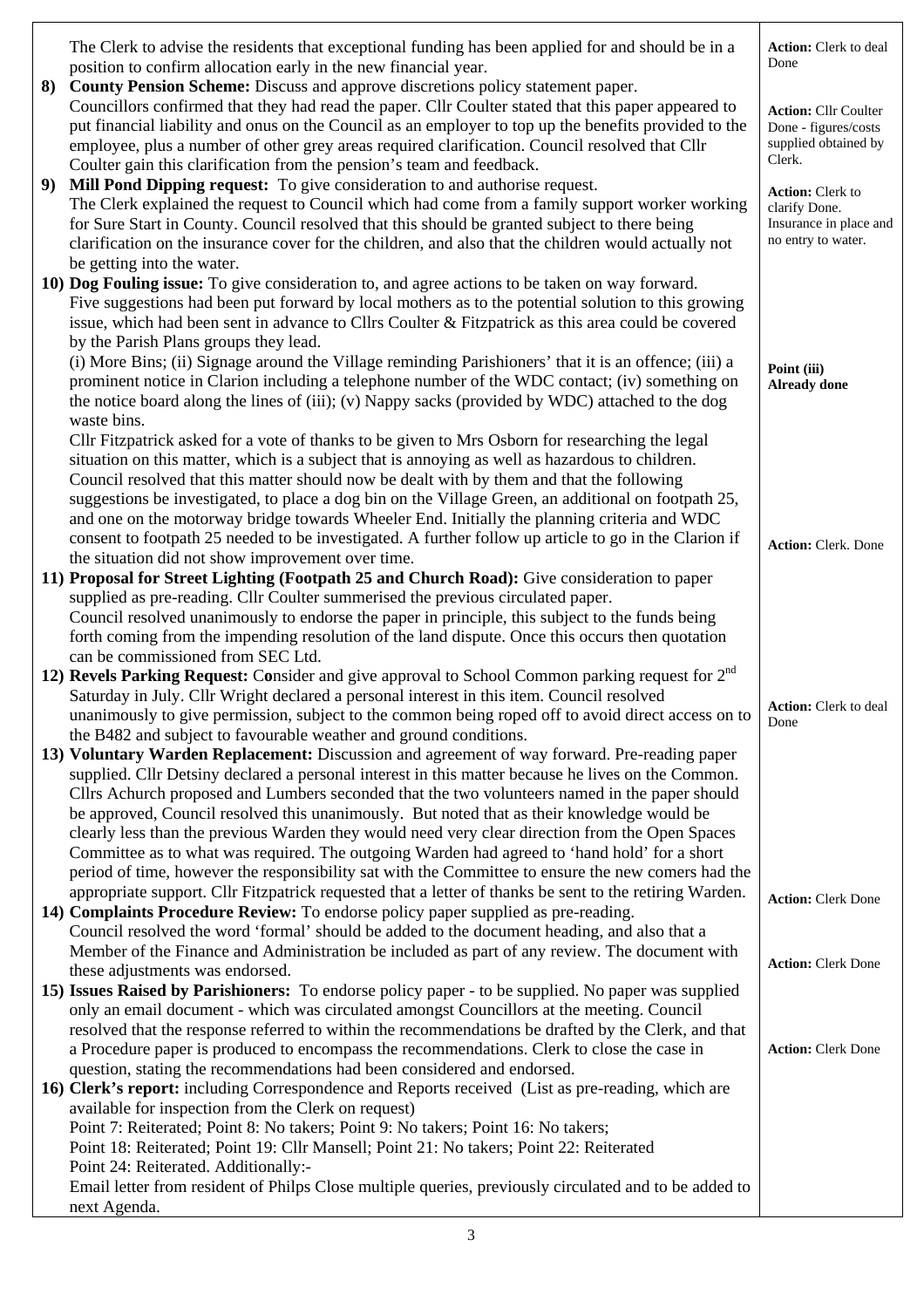|    | The Clerk to advise the residents that exceptional funding has been applied for and should be in a<br>position to confirm allocation early in the new financial year.                                                                                                                                                                                                                                                                                                     | Action: Clerk to deal<br>Done                                                            |
|----|---------------------------------------------------------------------------------------------------------------------------------------------------------------------------------------------------------------------------------------------------------------------------------------------------------------------------------------------------------------------------------------------------------------------------------------------------------------------------|------------------------------------------------------------------------------------------|
| 8) | County Pension Scheme: Discuss and approve discretions policy statement paper.<br>Councillors confirmed that they had read the paper. Cllr Coulter stated that this paper appeared to<br>put financial liability and onus on the Council as an employer to top up the benefits provided to the<br>employee, plus a number of other grey areas required clarification. Council resolved that Cllr<br>Coulter gain this clarification from the pension's team and feedback. | <b>Action: Cllr Coulter</b><br>Done - figures/costs<br>supplied obtained by<br>Clerk.    |
| 9) | Mill Pond Dipping request: To give consideration to and authorise request.<br>The Clerk explained the request to Council which had come from a family support worker working<br>for Sure Start in County. Council resolved that this should be granted subject to there being<br>clarification on the insurance cover for the children, and also that the children would actually not                                                                                     | <b>Action:</b> Clerk to<br>clarify Done.<br>Insurance in place and<br>no entry to water. |
|    | be getting into the water.                                                                                                                                                                                                                                                                                                                                                                                                                                                |                                                                                          |
|    | 10) Dog Fouling issue: To give consideration to, and agree actions to be taken on way forward.                                                                                                                                                                                                                                                                                                                                                                            |                                                                                          |
|    | Five suggestions had been put forward by local mothers as to the potential solution to this growing                                                                                                                                                                                                                                                                                                                                                                       |                                                                                          |
|    | issue, which had been sent in advance to Cllrs Coulter & Fitzpatrick as this area could be covered<br>by the Parish Plans groups they lead.                                                                                                                                                                                                                                                                                                                               |                                                                                          |
|    | (i) More Bins; (ii) Signage around the Village reminding Parishioners' that it is an offence; (iii) a                                                                                                                                                                                                                                                                                                                                                                     |                                                                                          |
|    | prominent notice in Clarion including a telephone number of the WDC contact; (iv) something on<br>the notice board along the lines of (iii); (v) Nappy sacks (provided by WDC) attached to the dog<br>waste bins.                                                                                                                                                                                                                                                         | Point (iii)<br><b>Already</b> done                                                       |
|    | Cllr Fitzpatrick asked for a vote of thanks to be given to Mrs Osborn for researching the legal                                                                                                                                                                                                                                                                                                                                                                           |                                                                                          |
|    | situation on this matter, which is a subject that is annoying as well as hazardous to children.                                                                                                                                                                                                                                                                                                                                                                           |                                                                                          |
|    | Council resolved that this matter should now be dealt with by them and that the following                                                                                                                                                                                                                                                                                                                                                                                 |                                                                                          |
|    | suggestions be investigated, to place a dog bin on the Village Green, an additional on footpath 25,                                                                                                                                                                                                                                                                                                                                                                       |                                                                                          |
|    | and one on the motorway bridge towards Wheeler End. Initially the planning criteria and WDC                                                                                                                                                                                                                                                                                                                                                                               |                                                                                          |
|    | consent to footpath 25 needed to be investigated. A further follow up article to go in the Clarion if                                                                                                                                                                                                                                                                                                                                                                     | <b>Action: Clerk. Done</b>                                                               |
|    | the situation did not show improvement over time.<br>11) Proposal for Street Lighting (Footpath 25 and Church Road): Give consideration to paper                                                                                                                                                                                                                                                                                                                          |                                                                                          |
|    | supplied as pre-reading. Cllr Coulter summerised the previous circulated paper.                                                                                                                                                                                                                                                                                                                                                                                           |                                                                                          |
|    | Council resolved unanimously to endorse the paper in principle, this subject to the funds being                                                                                                                                                                                                                                                                                                                                                                           |                                                                                          |
|    | forth coming from the impending resolution of the land dispute. Once this occurs then quotation                                                                                                                                                                                                                                                                                                                                                                           |                                                                                          |
|    | can be commissioned from SEC Ltd.                                                                                                                                                                                                                                                                                                                                                                                                                                         |                                                                                          |
|    | 12) Revels Parking Request: Consider and give approval to School Common parking request for $2nd$                                                                                                                                                                                                                                                                                                                                                                         |                                                                                          |
|    | Saturday in July. Cllr Wright declared a personal interest in this item. Council resolved                                                                                                                                                                                                                                                                                                                                                                                 | Action: Clerk to deal                                                                    |
|    | unanimously to give permission, subject to the common being roped off to avoid direct access on to<br>the B482 and subject to favourable weather and ground conditions.                                                                                                                                                                                                                                                                                                   | Done                                                                                     |
|    | 13) Voluntary Warden Replacement: Discussion and agreement of way forward. Pre-reading paper                                                                                                                                                                                                                                                                                                                                                                              |                                                                                          |
|    | supplied. Cllr Detsiny declared a personal interest in this matter because he lives on the Common.                                                                                                                                                                                                                                                                                                                                                                        |                                                                                          |
|    | Cllrs Achurch proposed and Lumbers seconded that the two volunteers named in the paper should                                                                                                                                                                                                                                                                                                                                                                             |                                                                                          |
|    | be approved, Council resolved this unanimously. But noted that as their knowledge would be                                                                                                                                                                                                                                                                                                                                                                                |                                                                                          |
|    | clearly less than the previous Warden they would need very clear direction from the Open Spaces                                                                                                                                                                                                                                                                                                                                                                           |                                                                                          |
|    | Committee as to what was required. The outgoing Warden had agreed to 'hand hold' for a short<br>period of time, however the responsibility sat with the Committee to ensure the new comers had the                                                                                                                                                                                                                                                                        |                                                                                          |
|    | appropriate support. Cllr Fitzpatrick requested that a letter of thanks be sent to the retiring Warden.                                                                                                                                                                                                                                                                                                                                                                   |                                                                                          |
|    | 14) Complaints Procedure Review: To endorse policy paper supplied as pre-reading.                                                                                                                                                                                                                                                                                                                                                                                         | <b>Action: Clerk Done</b>                                                                |
|    | Council resolved the word 'formal' should be added to the document heading, and also that a                                                                                                                                                                                                                                                                                                                                                                               |                                                                                          |
|    | Member of the Finance and Administration be included as part of any review. The document with                                                                                                                                                                                                                                                                                                                                                                             | <b>Action: Clerk Done</b>                                                                |
|    | these adjustments was endorsed.                                                                                                                                                                                                                                                                                                                                                                                                                                           |                                                                                          |
|    | 15) Issues Raised by Parishioners: To endorse policy paper - to be supplied. No paper was supplied<br>only an email document - which was circulated amongst Councillors at the meeting. Council                                                                                                                                                                                                                                                                           |                                                                                          |
|    | resolved that the response referred to within the recommendations be drafted by the Clerk, and that                                                                                                                                                                                                                                                                                                                                                                       |                                                                                          |
|    | a Procedure paper is produced to encompass the recommendations. Clerk to close the case in                                                                                                                                                                                                                                                                                                                                                                                | <b>Action: Clerk Done</b>                                                                |
|    | question, stating the recommendations had been considered and endorsed.                                                                                                                                                                                                                                                                                                                                                                                                   |                                                                                          |
|    | 16) Clerk's report: including Correspondence and Reports received (List as pre-reading, which are                                                                                                                                                                                                                                                                                                                                                                         |                                                                                          |
|    | available for inspection from the Clerk on request)                                                                                                                                                                                                                                                                                                                                                                                                                       |                                                                                          |
|    | Point 7: Reiterated; Point 8: No takers; Point 9: No takers; Point 16: No takers;<br>Point 18: Reiterated; Point 19: Cllr Mansell; Point 21: No takers; Point 22: Reiterated                                                                                                                                                                                                                                                                                              |                                                                                          |
|    | Point 24: Reiterated. Additionally:-                                                                                                                                                                                                                                                                                                                                                                                                                                      |                                                                                          |
|    | Email letter from resident of Philps Close multiple queries, previously circulated and to be added to                                                                                                                                                                                                                                                                                                                                                                     |                                                                                          |
|    | next Agenda.                                                                                                                                                                                                                                                                                                                                                                                                                                                              |                                                                                          |